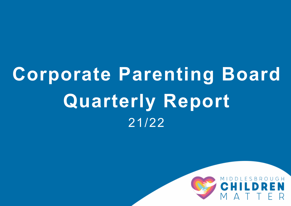# **Corporate Parenting Board Quarterly Report** 21/22

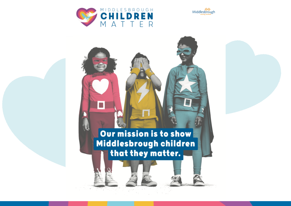



## Our mission is to show Middlesbrough children that they matter.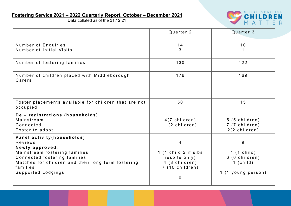### **Fostering Service 2021 – 2022 Quarterly Report, October – December 2021**

Data collated as of the 31.12.21



|                                                                                                                                                                                                                    | Quarter 2                                                                                           | Quarter 3                                                                 |
|--------------------------------------------------------------------------------------------------------------------------------------------------------------------------------------------------------------------|-----------------------------------------------------------------------------------------------------|---------------------------------------------------------------------------|
| Number of Enquiries<br>Number of Initial Visits                                                                                                                                                                    | 14<br>3                                                                                             | 10                                                                        |
| Number of fostering families                                                                                                                                                                                       | 130                                                                                                 | $122$                                                                     |
| Number of children placed with Middleborough<br>Carers                                                                                                                                                             | 176                                                                                                 | 169                                                                       |
| Foster placements available for children that are not<br>occupied                                                                                                                                                  | 50                                                                                                  | 15                                                                        |
| De - registrations (households)<br>Mainstream<br>Connected<br>Foster to adopt                                                                                                                                      | 4(7 children)<br>1 (2 children)                                                                     | 5 (5 children)<br>7 (7 children)<br>$2(2$ children)                       |
| Panel activity (households)<br>Reviews<br>Newly approved;<br>Mainstream fostering families<br>Connected fostering families<br>Matches for children and their long term fostering<br>families<br>Supported Lodgings | 4<br>1 (1 child 2 if sibs<br>respite only)<br>4 (8 children)<br>7 (10 children)<br>$\boldsymbol{0}$ | 9<br>$1(1)$ child)<br>6 (6 children)<br>$1$ (child)<br>1 (1 young person) |